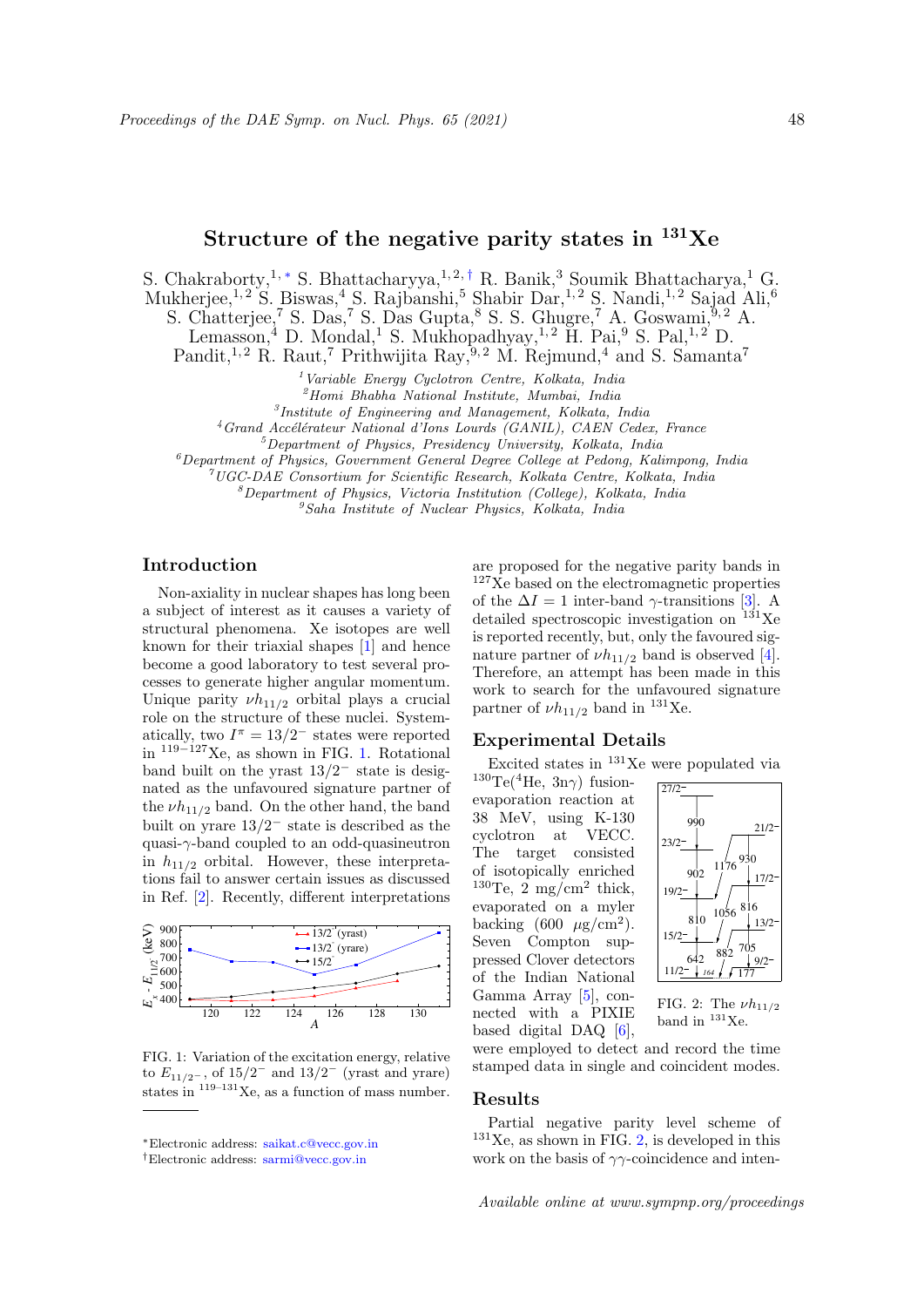# Structure of the negative parity states in  $^{131}Xe$

S. Chakraborty, 1, \* S. Bhattacharyya, 1, 2, † R. Banik, 3 Soumik Bhattacharya, 1 $G$ 

Mukherjee,<sup>1, 2</sup> S. Biswas,<sup>4</sup> S. Rajbanshi,<sup>5</sup> Shabir Dar,<sup>1, 2</sup> S. Nandi,<sup>1, 2</sup> Sajad Ali,<sup>6</sup>

S. Chatterjee,<sup>7</sup> S. Das,<sup>7</sup> S. Das Gupta,<sup>8</sup> S. S. Ghugre,<sup>7</sup> A. Goswami,<sup>9,2</sup> A.

Lemasson,<sup>4</sup> D. Mondal,<sup>1</sup> S. Mukhopadhyay,<sup>1,2</sup> H. Pai,<sup>9</sup> S. Pal,<sup>1,2</sup> D.

Pandit,<sup>1,2</sup> R. Raut,<sup>7</sup> Prithwijita Ray,<sup>9,2</sup> M. Rejmund,<sup>4</sup> and S. Samanta<sup>7</sup>

 $<sup>1</sup> Variable Energy Cyclotron Centre, Kolkata, India$ </sup>

<sup>2</sup>Homi Bhabha National Institute, Mumbai, India

3 Institute of Engineering and Management, Kolkata, India

 $4$ Grand Accélérateur National d'Ions Lourds (GANIL), CAEN Cedex, France

 $5$ Department of Physics, Presidency University, Kolkata, India

 ${}^6$ Department of Physics, Government General Degree College at Pedong, Kalimpong, India

 $7$ UGC-DAE Consortium for Scientific Research, Kolkata Centre, Kolkata, India

 ${}^8$ Department of Physics, Victoria Institution (College), Kolkata, India

 ${}^{9}Saha$  Institute of Nuclear Physics, Kolkata, India

### Introduction

Non-axiality in nuclear shapes has long been a subject of interest as it causes a variety of structural phenomena. Xe isotopes are well known for their triaxial shapes [1] and hence become a good laboratory to test several processes to generate higher angular momentum. Unique parity  $\nu h_{11/2}$  orbital plays a crucial role on the structure of these nuclei. Systematically, two  $I^{\pi} = 13/2^-$  states were reported in <sup>119</sup>−127Xe, as shown in FIG. 1. Rotational band built on the yrast  $13/2^-$  state is designated as the unfavoured signature partner of the  $\nu h_{11/2}$  band. On the other hand, the band built on yrare  $13/2^-$  state is described as the quasi-γ-band coupled to an odd-quasineutron in  $h_{11/2}$  orbital. However, these interpretations fail to answer certain issues as discussed in Ref. [2]. Recently, different interpretations



FIG. 1: Variation of the excitation energy, relative to  $E_{11/2}$ -, of  $15/2^-$  and  $13/2^-$  (yrast and yrare) states in  $119-131$  Xe, as a function of mass number.

are proposed for the negative parity bands in <sup>127</sup>Xe based on the electromagnetic properties of the  $\Delta I = 1$  inter-band  $\gamma$ -transitions [3]. A detailed spectroscopic investigation on  $131$ Xe is reported recently, but, only the favoured signature partner of  $\nu h_{11/2}$  band is observed [4]. Therefore, an attempt has been made in this work to search for the unfavoured signature partner of  $\nu h_{11/2}$  band in <sup>131</sup>Xe.

## Experimental Details

Excited states in <sup>131</sup>Xe were populated via

 $130\text{Te}(4\text{He}, 3\text{n}\gamma)$  fusionevaporation reaction at 38 MeV, using K-130 cyclotron at VECC. The target consisted of isotopically enriched  $130$ Te, 2 mg/cm<sup>2</sup> thick, evaporated on a myler backing  $(600 \ \mu g/cm^2)$ . Seven Compton suppressed Clover detectors of the Indian National Gamma Array [5], connected with a PIXIE based digital DAQ [6],



FIG. 2: The  $\nu h_{11/2}$ band in  $131$ Xe.

were employed to detect and record the time stamped data in single and coincident modes.

#### Results

Partial negative parity level scheme of  $131$ Xe, as shown in FIG. 2, is developed in this work on the basis of  $\gamma\gamma$ -coincidence and inten-

<sup>∗</sup>Electronic address: saikat.c@vecc.gov.in

<sup>†</sup>Electronic address: sarmi@vecc.gov.in